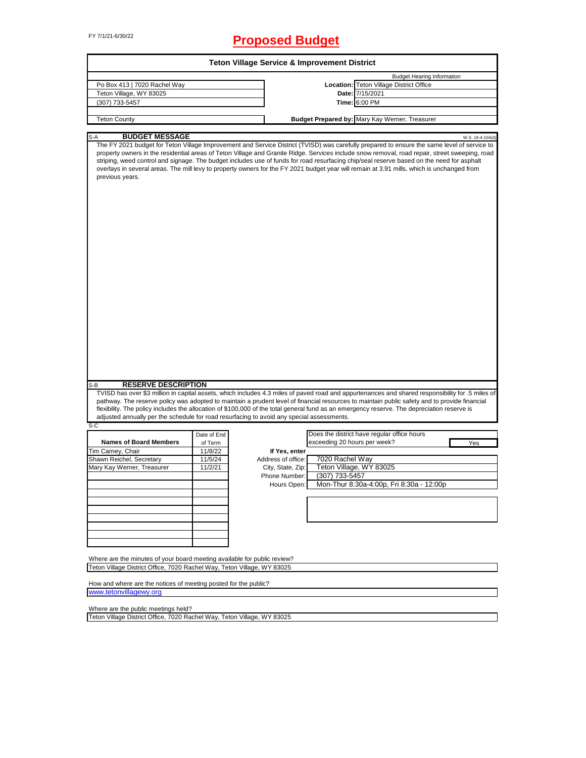# FY 7/1/21-6/30/22 **Proposed Budget**

| <b>Teton Village Service &amp; Improvement District</b>                                                                                             |             |                    |                              |                                                                                                                                                                                                                                                                                                                                                                                                                                                                                                                                                                                          |  |  |  |
|-----------------------------------------------------------------------------------------------------------------------------------------------------|-------------|--------------------|------------------------------|------------------------------------------------------------------------------------------------------------------------------------------------------------------------------------------------------------------------------------------------------------------------------------------------------------------------------------------------------------------------------------------------------------------------------------------------------------------------------------------------------------------------------------------------------------------------------------------|--|--|--|
|                                                                                                                                                     |             |                    |                              | <b>Budget Hearing Information</b>                                                                                                                                                                                                                                                                                                                                                                                                                                                                                                                                                        |  |  |  |
| Po Box 413   7020 Rachel Way                                                                                                                        |             |                    |                              | Location: Teton Village District Office                                                                                                                                                                                                                                                                                                                                                                                                                                                                                                                                                  |  |  |  |
| Teton Village, WY 83025                                                                                                                             |             |                    |                              | Date: 7/15/2021                                                                                                                                                                                                                                                                                                                                                                                                                                                                                                                                                                          |  |  |  |
| (307) 733-5457                                                                                                                                      |             |                    |                              | Time: 6:00 PM                                                                                                                                                                                                                                                                                                                                                                                                                                                                                                                                                                            |  |  |  |
|                                                                                                                                                     |             |                    |                              |                                                                                                                                                                                                                                                                                                                                                                                                                                                                                                                                                                                          |  |  |  |
| <b>Teton County</b>                                                                                                                                 |             |                    |                              | Budget Prepared by: Mary Kay Werner, Treasurer                                                                                                                                                                                                                                                                                                                                                                                                                                                                                                                                           |  |  |  |
| <b>BUDGET MESSAGE</b><br>S-A                                                                                                                        |             |                    |                              | W.S. 16-4-104(d)                                                                                                                                                                                                                                                                                                                                                                                                                                                                                                                                                                         |  |  |  |
| previous years.                                                                                                                                     |             |                    |                              | The FY 2021 budget for Teton Village Improvement and Service District (TVISD) was carefully prepared to ensure the same level of service to<br>property owners in the residential areas of Teton Village and Granite Ridge. Services include snow removal, road repair, street sweeping, road<br>striping, weed control and signage. The budget includes use of funds for road resurfacing chip/seal reserve based on the need for asphalt<br>overlays in several areas. The mill levy to property owners for the FY 2021 budget year will remain at 3.91 mills, which is unchanged from |  |  |  |
| <b>RESERVE DESCRIPTION</b><br>S-B<br>adjusted annually per the schedule for road resurfacing to avoid any special assessments.                      |             |                    |                              | TVISD has over \$3 million in capital assets, which includes 4.3 miles of paved road and appurtenances and shared responsibility for .5 miles of<br>pathway. The reserve policy was adopted to maintain a prudent level of financial resources to maintain public safety and to provide financial<br>flexibility. The policy includes the allocation of \$100,000 of the total general fund as an emergency reserve. The depreciation reserve is                                                                                                                                         |  |  |  |
| S-C                                                                                                                                                 | Date of End |                    |                              | Does the district have regular office hours                                                                                                                                                                                                                                                                                                                                                                                                                                                                                                                                              |  |  |  |
| <b>Names of Board Members</b>                                                                                                                       | of Term     |                    | exceeding 20 hours per week? | Yes                                                                                                                                                                                                                                                                                                                                                                                                                                                                                                                                                                                      |  |  |  |
| Tim Carney, Chair                                                                                                                                   | 11/8/22     | If Yes, enter      |                              |                                                                                                                                                                                                                                                                                                                                                                                                                                                                                                                                                                                          |  |  |  |
| Shawn Reichel, Secretary                                                                                                                            | 11/5/24     | Address of office: | 7020 Rachel Way              |                                                                                                                                                                                                                                                                                                                                                                                                                                                                                                                                                                                          |  |  |  |
| Mary Kay Werner, Treasurer                                                                                                                          | 11/2/21     | City, State, Zip:  |                              | Teton Village, WY 83025                                                                                                                                                                                                                                                                                                                                                                                                                                                                                                                                                                  |  |  |  |
|                                                                                                                                                     |             | Phone Number:      | (307) 733-5457               |                                                                                                                                                                                                                                                                                                                                                                                                                                                                                                                                                                                          |  |  |  |
|                                                                                                                                                     |             | Hours Open:        |                              |                                                                                                                                                                                                                                                                                                                                                                                                                                                                                                                                                                                          |  |  |  |
|                                                                                                                                                     |             |                    |                              | Mon-Thur 8:30a-4:00p, Fri 8:30a - 12:00p                                                                                                                                                                                                                                                                                                                                                                                                                                                                                                                                                 |  |  |  |
|                                                                                                                                                     |             |                    |                              |                                                                                                                                                                                                                                                                                                                                                                                                                                                                                                                                                                                          |  |  |  |
|                                                                                                                                                     |             |                    |                              |                                                                                                                                                                                                                                                                                                                                                                                                                                                                                                                                                                                          |  |  |  |
|                                                                                                                                                     |             |                    |                              |                                                                                                                                                                                                                                                                                                                                                                                                                                                                                                                                                                                          |  |  |  |
|                                                                                                                                                     |             |                    |                              |                                                                                                                                                                                                                                                                                                                                                                                                                                                                                                                                                                                          |  |  |  |
|                                                                                                                                                     |             |                    |                              |                                                                                                                                                                                                                                                                                                                                                                                                                                                                                                                                                                                          |  |  |  |
|                                                                                                                                                     |             |                    |                              |                                                                                                                                                                                                                                                                                                                                                                                                                                                                                                                                                                                          |  |  |  |
| Where are the minutes of your board meeting available for public review?<br>Teton Village District Office, 7020 Rachel Way, Teton Village, WY 83025 |             |                    |                              |                                                                                                                                                                                                                                                                                                                                                                                                                                                                                                                                                                                          |  |  |  |
|                                                                                                                                                     |             |                    |                              |                                                                                                                                                                                                                                                                                                                                                                                                                                                                                                                                                                                          |  |  |  |
| How and where are the notices of meeting posted for the public?<br>www.tetonvillagewy.org                                                           |             |                    |                              |                                                                                                                                                                                                                                                                                                                                                                                                                                                                                                                                                                                          |  |  |  |
|                                                                                                                                                     |             |                    |                              |                                                                                                                                                                                                                                                                                                                                                                                                                                                                                                                                                                                          |  |  |  |

Where are the public meetings held?

Teton Village District Office, 7020 Rachel Way, Teton Village, WY 83025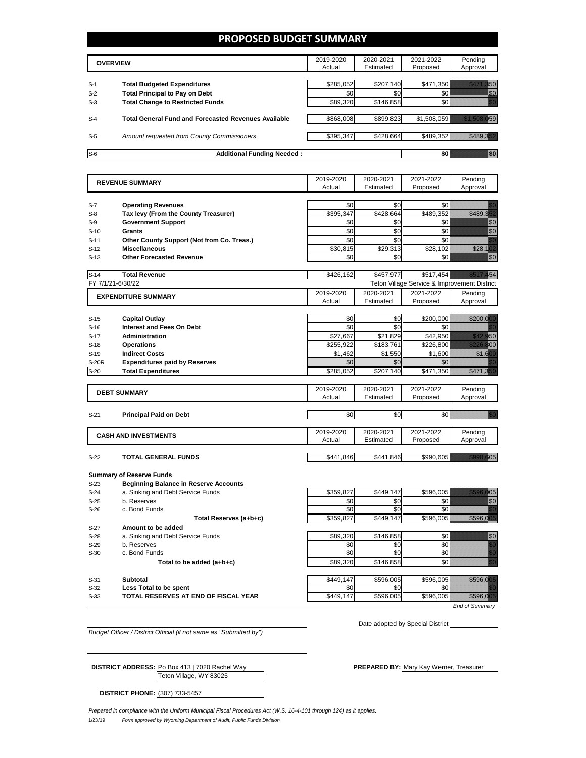### **PROPOSED BUDGET SUMMARY**

|       | <b>OVERVIEW</b>                                             | 2019-2020<br>Actual | 2020-2021<br>Estimated | 2021-2022<br>Proposed | Pendina<br>Approval |
|-------|-------------------------------------------------------------|---------------------|------------------------|-----------------------|---------------------|
|       |                                                             |                     |                        |                       |                     |
| $S-1$ | <b>Total Budgeted Expenditures</b>                          | \$285,052           | \$207,140              | \$471.350             |                     |
| $S-2$ | <b>Total Principal to Pay on Debt</b>                       | \$0                 | \$0                    |                       |                     |
| $S-3$ | <b>Total Change to Restricted Funds</b>                     | \$89,320            | \$146,858              |                       |                     |
|       |                                                             |                     |                        |                       |                     |
| $S-4$ | <b>Total General Fund and Forecasted Revenues Available</b> | \$868,008           | \$899,823              | \$1,508,059           |                     |
|       |                                                             |                     |                        |                       |                     |
| $S-5$ | Amount requested from County Commissioners                  | \$395,347           | \$428,664              | \$489.352             |                     |
|       |                                                             |                     |                        |                       |                     |
| $S-6$ | <b>Additional Funding Needed:</b>                           |                     |                        |                       |                     |

|                  | <b>REVENUE SUMMARY</b>                                    | 2019-2020  | 2020-2021 | 2021-2022                                    | Pending                                                                                                                                                                                                                          |
|------------------|-----------------------------------------------------------|------------|-----------|----------------------------------------------|----------------------------------------------------------------------------------------------------------------------------------------------------------------------------------------------------------------------------------|
|                  |                                                           | Actual     | Estimated | Proposed                                     | Approval                                                                                                                                                                                                                         |
|                  |                                                           |            |           |                                              |                                                                                                                                                                                                                                  |
| $S-7$            | <b>Operating Revenues</b>                                 | \$0        | \$0       | \$0                                          | en de la familie de la familie de la familie de la familie de la familie de la familie de la familie de la fam<br>De la familie de la familie de la familie de la familie de la familie de la familie de la familie de la famili |
| $S-8$            | Tax levy (From the County Treasurer)                      | \$395,347  | \$428,664 | \$489,352                                    | a a a an an t-òrdan an t-òrdan an t-òrdan an t-òrdan an t-òrdan an t-òrdan an t-òrdan an t-òrdan an t-òrdan an                                                                                                                   |
| $S-9$            | <b>Government Support</b>                                 | \$0        | \$0       | \$0                                          | en de la familie de la familie de la familie de la familie de la familie de la familie de la familie de la fam<br>Espainia                                                                                                       |
| $S-10$           | <b>Grants</b>                                             | \$0<br>\$0 | \$0       | \$0<br>\$0                                   | e de la construcción de la construcción de la construcción de la construcción de la construcción de la construcción<br>Construcción                                                                                              |
| $S-11$           | Other County Support (Not from Co. Treas.)                | \$30.815   | \$0       | \$28.102                                     | a katalunggal sa katalunggal sa katalunggal sa katalunggal sa katalunggal sa katalunggal sa katalunggal sa kat                                                                                                                   |
| $S-12$           | <b>Miscellaneous</b>                                      |            | \$29,313  |                                              |                                                                                                                                                                                                                                  |
| $S-13$           | <b>Other Forecasted Revenue</b>                           | \$0        | \$0       | \$0                                          |                                                                                                                                                                                                                                  |
| $S-14$           | <b>Total Revenue</b>                                      | \$426,162  | \$457,977 | \$517.454                                    | <u>tik alaman da</u>                                                                                                                                                                                                             |
|                  | FY 7/1/21-6/30/22                                         |            |           | Teton Village Service & Improvement District |                                                                                                                                                                                                                                  |
|                  | <b>EXPENDITURE SUMMARY</b>                                | 2019-2020  | 2020-2021 | 2021-2022                                    | Pending                                                                                                                                                                                                                          |
|                  |                                                           | Actual     | Estimated | Proposed                                     | Approval                                                                                                                                                                                                                         |
|                  |                                                           |            | \$0       |                                              | <u> Hillisoon Sa</u>                                                                                                                                                                                                             |
| $S-15$           | <b>Capital Outlay</b><br><b>Interest and Fees On Debt</b> | \$0<br>\$0 | \$0       | \$200,000<br>\$0                             | ni kata                                                                                                                                                                                                                          |
| $S-16$<br>$S-17$ | <b>Administration</b>                                     | \$27,667   | \$21,829  | \$42,950                                     | <u> Harristo Sta</u>                                                                                                                                                                                                             |
| $S-18$           | <b>Operations</b>                                         | \$255,922  | \$183,761 | \$226,800                                    | <u>Mikiliano d</u>                                                                                                                                                                                                               |
| $S-19$           | <b>Indirect Costs</b>                                     | \$1,462    | \$1,550   | \$1,600                                      | <u> Maria Sa</u>                                                                                                                                                                                                                 |
| S-20R            | <b>Expenditures paid by Reserves</b>                      | \$0        | \$0       | \$0                                          | ,,,,                                                                                                                                                                                                                             |
| $S-20$           | <b>Total Expenditures</b>                                 | \$285,052  | \$207,140 | \$471,350                                    | <u>tilik kultural</u>                                                                                                                                                                                                            |
|                  |                                                           |            |           |                                              |                                                                                                                                                                                                                                  |
|                  | <b>DEBT SUMMARY</b>                                       | 2019-2020  | 2020-2021 | 2021-2022                                    | Pending                                                                                                                                                                                                                          |
|                  |                                                           | Actual     | Estimated | Proposed                                     | Approval                                                                                                                                                                                                                         |
|                  |                                                           |            |           |                                              |                                                                                                                                                                                                                                  |
| $S-21$           | <b>Principal Paid on Debt</b>                             | \$0        | \$0       | \$0                                          | elli kuulu                                                                                                                                                                                                                       |
|                  |                                                           | 2019-2020  | 2020-2021 | 2021-2022                                    | Pending                                                                                                                                                                                                                          |
|                  | <b>CASH AND INVESTMENTS</b>                               | Actual     | Estimated | Proposed                                     | Approval                                                                                                                                                                                                                         |
|                  |                                                           |            |           |                                              |                                                                                                                                                                                                                                  |
| $S-22$           | <b>TOTAL GENERAL FUNDS</b>                                | \$441,846  | \$441,846 | \$990,605                                    | <u> Maria Maria Indonesia (</u>                                                                                                                                                                                                  |
|                  | <b>Summary of Reserve Funds</b>                           |            |           |                                              |                                                                                                                                                                                                                                  |
| $S-23$           | <b>Beginning Balance in Reserve Accounts</b>              |            |           |                                              |                                                                                                                                                                                                                                  |
| $S-24$           | a. Sinking and Debt Service Funds                         | \$359,827  | \$449,147 | \$596,005                                    | <u> Harristo Maria</u>                                                                                                                                                                                                           |
| $S-25$           | b. Reserves                                               | \$0        | \$0       | \$0                                          | en de la familie de la familie de la familie de la familie de la familie de la familie de la familie de la fam<br>Establece de la familie de la familie de la familie de la familie de la familie de la familie de la familie d  |
| $S-26$           | c. Bond Funds                                             | \$0        | \$0       | \$0                                          | en de la familie de la familie de la familie de la familie de la familie de la familie de la familie de la fa<br>Concelho de la familie de la familie de la familie de la familie de la familie de la familie de la familie de   |
|                  | Total Reserves (a+b+c)                                    | \$359,827  | \$449,147 | \$596.005                                    | <b>Alan Barat Barat Barat Barat Barat Barat</b>                                                                                                                                                                                  |
| $S-27$           | Amount to be added                                        |            |           |                                              |                                                                                                                                                                                                                                  |
| $S-28$           | a. Sinking and Debt Service Funds                         | \$89,320   | \$146,858 | \$0                                          |                                                                                                                                                                                                                                  |
| $S-29$           | b. Reserves                                               | \$0        | \$0       | \$0                                          |                                                                                                                                                                                                                                  |
| $S-30$           | c. Bond Funds                                             | \$0        | \$0       | \$0                                          | e de la composición de la composición de la composición de la composición de la composición de la composición<br>Composición                                                                                                     |
|                  | Total to be added (a+b+c)                                 | \$89,320   | \$146,858 | \$0                                          | en de la filòlogía<br>Alba                                                                                                                                                                                                       |
|                  |                                                           |            |           |                                              |                                                                                                                                                                                                                                  |
| $S-31$           | <b>Subtotal</b>                                           | \$449,147  | \$596,005 | \$596,005                                    |                                                                                                                                                                                                                                  |

*Budget Officer / District Official (if not same as "Submitted by")*

Teton Village, WY 83025 **DISTRICT ADDRESS:** Po Box 413 | 7020 Rachel Way **PREPARED BY:** Mary Kay Werner, Treasurer

Date adopted by Special District

*End of Summary*

**DISTRICT PHONE:** (307) 733-5457

1/23/19 *Form approved by Wyoming Department of Audit, Public Funds Division Prepared in compliance with the Uniform Municipal Fiscal Procedures Act (W.S. 16-4-101 through 124) as it applies.*

S-32 **Less Total to be spent** \$0 \$0 \$0 \$0

**S-33 TOTAL RESERVES AT END OF FISCAL YEAR 1999 120 1419, 147 \$596,005** \$596,005 \$596,005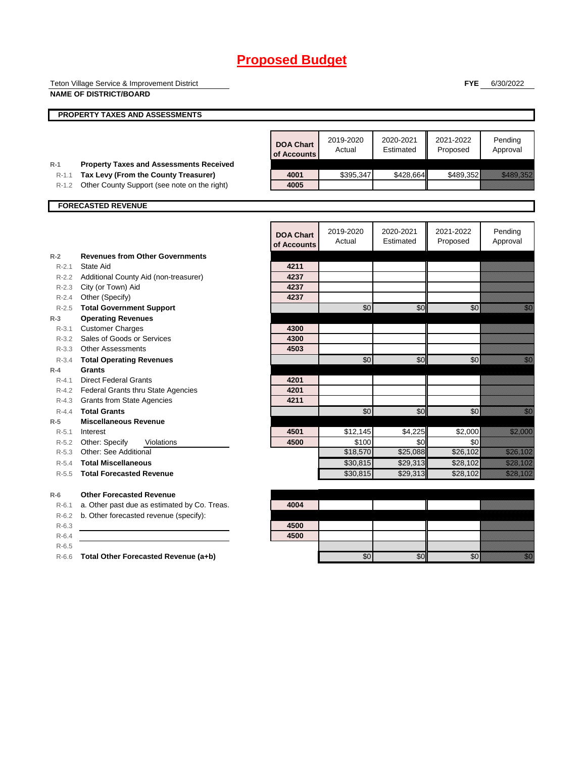|                  | Teton Village Service & Improvement District                                           |                                 |                     |                        | <b>FYE</b>            | 6/30/2022                                                                                                                                                                                                                        |
|------------------|----------------------------------------------------------------------------------------|---------------------------------|---------------------|------------------------|-----------------------|----------------------------------------------------------------------------------------------------------------------------------------------------------------------------------------------------------------------------------|
|                  | <b>NAME OF DISTRICT/BOARD</b>                                                          |                                 |                     |                        |                       |                                                                                                                                                                                                                                  |
|                  | PROPERTY TAXES AND ASSESSMENTS                                                         |                                 |                     |                        |                       |                                                                                                                                                                                                                                  |
|                  |                                                                                        |                                 |                     |                        |                       |                                                                                                                                                                                                                                  |
|                  |                                                                                        | <b>DOA Chart</b><br>of Accounts | 2019-2020<br>Actual | 2020-2021<br>Estimated | 2021-2022<br>Proposed | Pending<br>Approval                                                                                                                                                                                                              |
| $R-1$<br>$R-1.1$ | <b>Property Taxes and Assessments Received</b><br>Tax Levy (From the County Treasurer) | 4001                            | \$395,347           | \$428,664              | \$489,352             | <u> Karaburatan Ing</u>                                                                                                                                                                                                          |
| $R-1.2$          | Other County Support (see note on the right)                                           | 4005                            |                     |                        |                       |                                                                                                                                                                                                                                  |
|                  |                                                                                        |                                 |                     |                        |                       |                                                                                                                                                                                                                                  |
|                  | <b>FORECASTED REVENUE</b>                                                              |                                 |                     |                        |                       |                                                                                                                                                                                                                                  |
|                  |                                                                                        | <b>DOA Chart</b><br>of Accounts | 2019-2020<br>Actual | 2020-2021<br>Estimated | 2021-2022<br>Proposed | Pending<br>Approval                                                                                                                                                                                                              |
| $R-2$            | <b>Revenues from Other Governments</b>                                                 |                                 |                     |                        |                       |                                                                                                                                                                                                                                  |
| $R - 2.1$        | <b>State Aid</b>                                                                       | 4211                            |                     |                        |                       |                                                                                                                                                                                                                                  |
|                  | R-2.2 Additional County Aid (non-treasurer)                                            | 4237                            |                     |                        |                       |                                                                                                                                                                                                                                  |
|                  | R-2.3 City (or Town) Aid                                                               | 4237<br>4237                    |                     |                        |                       |                                                                                                                                                                                                                                  |
| $R - 2.5$        | R-2.4 Other (Specify)                                                                  |                                 | \$0                 | \$0                    | \$0                   |                                                                                                                                                                                                                                  |
| $R-3$            | <b>Total Government Support</b><br><b>Operating Revenues</b>                           |                                 |                     |                        |                       | en de la familie de la familie de la familie de la familie de la familie de la familie de la familie de la fam<br>Constituit de la familie de la familie de la familie de la familie de la familie de la familie de la familie d |
| $R - 3.1$        | <b>Customer Charges</b>                                                                | 4300                            |                     |                        |                       |                                                                                                                                                                                                                                  |
| R-3.2            | Sales of Goods or Services                                                             | 4300                            |                     |                        |                       |                                                                                                                                                                                                                                  |
|                  | R-3.3 Other Assessments                                                                | 4503                            |                     |                        |                       |                                                                                                                                                                                                                                  |
| $R - 3.4$        | <b>Total Operating Revenues</b>                                                        |                                 | \$0                 | \$0                    | \$0                   | en de la familie de la familie de la familie de la familie de la familie de la familie de la familie de la fam<br>De la familie de la familie de la familie de la familie de la familie de la familie de la familie de la famili |
| $R-4$            | <b>Grants</b>                                                                          |                                 |                     |                        |                       |                                                                                                                                                                                                                                  |
| $R - 4.1$        | <b>Direct Federal Grants</b>                                                           | 4201                            |                     |                        |                       |                                                                                                                                                                                                                                  |
|                  | R-4.2 Federal Grants thru State Agencies                                               | 4201                            |                     |                        |                       |                                                                                                                                                                                                                                  |
|                  | R-4.3 Grants from State Agencies                                                       | 4211                            |                     |                        |                       |                                                                                                                                                                                                                                  |
| $R - 4.4$        | <b>Total Grants</b>                                                                    |                                 | \$0                 | \$0                    | \$0                   | en de la filosofia<br>Altres de la filosofia                                                                                                                                                                                     |
| $R-5$            | <b>Miscellaneous Revenue</b>                                                           |                                 |                     |                        |                       |                                                                                                                                                                                                                                  |
| $R - 5.1$        | Interest                                                                               | 4501                            | \$12,145            | \$4,225                | \$2,000               | <u>till framförfall</u>                                                                                                                                                                                                          |
| $R - 5.2$        | Other: Specify<br>Violations<br>Other: See Additional                                  | 4500                            | \$100               | \$0                    | \$0                   |                                                                                                                                                                                                                                  |
| $R-5.3$          | <b>Total Miscellaneous</b>                                                             |                                 | \$18,570            | \$25,088               | \$26,102              | <u>till kommune</u>                                                                                                                                                                                                              |
| $R-5.4$          |                                                                                        |                                 | \$30,815            | \$29,313               | \$28,102              |                                                                                                                                                                                                                                  |
| $R - 5.5$        | <b>Total Forecasted Revenue</b>                                                        |                                 | \$30,815            | \$29,313               | \$28,102              | <u> Mariji (</u>                                                                                                                                                                                                                 |
| $R-6$            | <b>Other Forecasted Revenue</b>                                                        |                                 |                     |                        |                       |                                                                                                                                                                                                                                  |
| $R-6.1$          | a. Other past due as estimated by Co. Treas.                                           | 4004                            |                     |                        |                       |                                                                                                                                                                                                                                  |
| $R-6.2$          | b. Other forecasted revenue (specify):                                                 |                                 |                     |                        |                       |                                                                                                                                                                                                                                  |
| $R-6.3$          |                                                                                        | 4500                            |                     |                        |                       |                                                                                                                                                                                                                                  |
| $R-6.4$          |                                                                                        | 4500                            |                     |                        |                       |                                                                                                                                                                                                                                  |
| $R-6.5$          |                                                                                        |                                 |                     |                        |                       |                                                                                                                                                                                                                                  |
| R-6.6            | Total Other Forecasted Revenue (a+b)                                                   |                                 | \$0                 | \$0                    | \$0                   | en de la familie de la familie de la familie de la familie de la familie de la familie de la familie de la fa<br>Constitution de la familie de la familie de la familie de la familie de la familie de la familie de la familie  |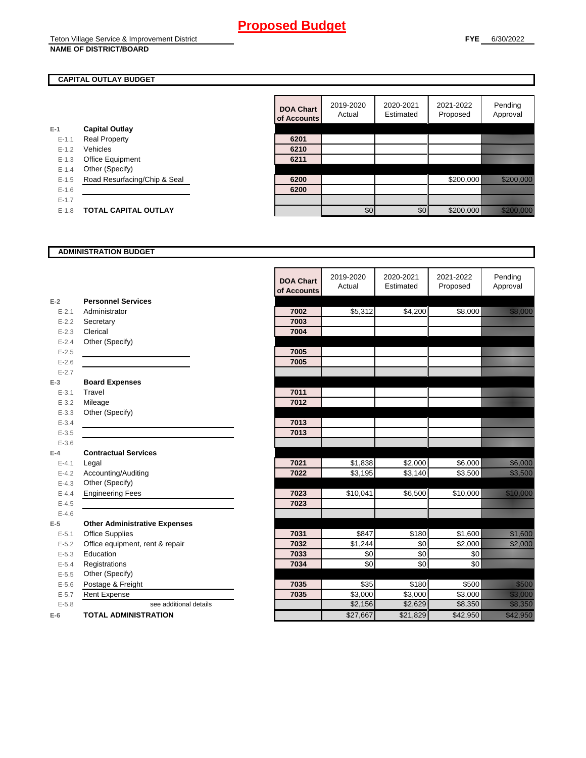### **CAPITAL OUTLAY BUDGET**

| $E-1$     | <b>Capital Outlay</b>        |      |
|-----------|------------------------------|------|
| $E - 1.1$ | <b>Real Property</b>         | 6201 |
| $E - 1.2$ | Vehicles                     | 6210 |
| $E-1.3$   | <b>Office Equipment</b>      | 6211 |
| $E - 1.4$ | Other (Specify)              |      |
| $E-1.5$   | Road Resurfacing/Chip & Seal | 6200 |
| $E - 1.6$ |                              | 6200 |
| $E - 1.7$ |                              |      |
| $E - 1.8$ | <b>TOTAL CAPITAL OUTLAY</b>  |      |
|           |                              |      |

|           |                              | <b>DOA Chart</b><br>of Accounts | 2019-2020<br>Actual | 2020-2021<br>Estimated | 2021-2022<br>Proposed | Pending<br>Approval   |
|-----------|------------------------------|---------------------------------|---------------------|------------------------|-----------------------|-----------------------|
|           | <b>Capital Outlay</b>        |                                 |                     |                        |                       |                       |
| $E-1.1$   | <b>Real Property</b>         | 6201                            |                     |                        |                       |                       |
| $E - 1.2$ | Vehicles                     | 6210                            |                     |                        |                       |                       |
| $E - 1.3$ | Office Equipment             | 6211                            |                     |                        |                       |                       |
| $E-1.4$   | Other (Specify)              |                                 |                     |                        |                       |                       |
| $E - 1.5$ | Road Resurfacing/Chip & Seal | 6200                            |                     |                        | \$200,000             |                       |
| $E-1.6$   |                              | 6200                            |                     |                        |                       |                       |
| $E-1.7$   |                              |                                 |                     |                        |                       |                       |
| $E-1.8$   | <b>TOTAL CAPITAL OUTLAY</b>  |                                 | \$0                 | \$0                    | \$200,000             | <u> Harristan Sta</u> |

#### **ADMINISTRATION BUDGET**

|           |                                      | <b>DOA Chart</b><br>of Accounts | 2019-2020<br>Actual | 2020-2021<br>Estimated | 2021-2022<br>Proposed | Pending<br>Approval                  |
|-----------|--------------------------------------|---------------------------------|---------------------|------------------------|-----------------------|--------------------------------------|
| $E-2$     | <b>Personnel Services</b>            |                                 |                     |                        |                       |                                      |
| $E - 2.1$ | Administrator                        | 7002                            | \$5,312             | \$4,200                | \$8,000               | <u>tionalist parallel</u>            |
| $E - 2.2$ | Secretary                            | 7003                            |                     |                        |                       |                                      |
| $E - 2.3$ | Clerical                             | 7004                            |                     |                        |                       |                                      |
| $E - 2.4$ | Other (Specify)                      |                                 |                     |                        |                       |                                      |
| $E-2.5$   |                                      | 7005                            |                     |                        |                       |                                      |
| $E - 2.6$ |                                      | 7005                            |                     |                        |                       |                                      |
| $E - 2.7$ |                                      |                                 |                     |                        |                       |                                      |
| $E-3$     | <b>Board Expenses</b>                |                                 |                     |                        |                       |                                      |
| $E - 3.1$ | Travel                               | 7011                            |                     |                        |                       |                                      |
| $E - 3.2$ | Mileage                              | 7012                            |                     |                        |                       |                                      |
| $E - 3.3$ | Other (Specify)                      |                                 |                     |                        |                       |                                      |
| $E - 3.4$ |                                      | 7013                            |                     |                        |                       |                                      |
| $E - 3.5$ |                                      | 7013                            |                     |                        |                       |                                      |
| $E - 3.6$ |                                      |                                 |                     |                        |                       |                                      |
| $E-4$     | <b>Contractual Services</b>          |                                 |                     |                        |                       |                                      |
| $E - 4.1$ | Legal                                | 7021                            | \$1,838             | \$2,000                | \$6,000               | <u>tik alaman da</u>                 |
| $E - 4.2$ | Accounting/Auditing                  | 7022                            | \$3,195             | $\overline{$3,140}$    | \$3,500               | <u>till framförfattar och en sta</u> |
| $E - 4.3$ | Other (Specify)                      |                                 |                     |                        |                       |                                      |
| $E - 4.4$ | <b>Engineering Fees</b>              | 7023                            | \$10,041            | \$6,500                | \$10,000              | <u> Harristo Santa Consta</u>        |
| $E - 4.5$ |                                      | 7023                            |                     |                        |                       |                                      |
| $E-4.6$   |                                      |                                 |                     |                        |                       |                                      |
| $E-5$     | <b>Other Administrative Expenses</b> |                                 |                     |                        |                       |                                      |
| $E - 5.1$ | <b>Office Supplies</b>               | 7031                            | \$847               | \$180                  | \$1,600               | <u>ti ka</u>                         |
| $E-5.2$   | Office equipment, rent & repair      | 7032                            | \$1,244             | \$0                    | \$2,000               | <u>till framförsta</u>               |
| $E - 5.3$ | Education                            | 7033                            | \$0                 | \$0                    | \$0                   |                                      |
| $E - 5.4$ | Registrations                        | 7034                            | \$0                 | \$0                    | \$0                   |                                      |
| $E-5.5$   | Other (Specify)                      |                                 |                     |                        |                       |                                      |
| $E-5.6$   | Postage & Freight                    | 7035                            | \$35                | \$180                  | \$500                 | <u>tional and</u>                    |
| $E - 5.7$ | <b>Rent Expense</b>                  | 7035                            | \$3,000             | \$3,000                | \$3,000               |                                      |
| $E - 5.8$ | see additional details               |                                 | \$2,156             | \$2,629                | \$8,350               | <u>tik alaman da</u>                 |
| $E-6$     | <b>TOTAL ADMINISTRATION</b>          |                                 | \$27,667            | \$21,829               | \$42,950              | <u>tik alaman k</u>                  |

 $\blacksquare$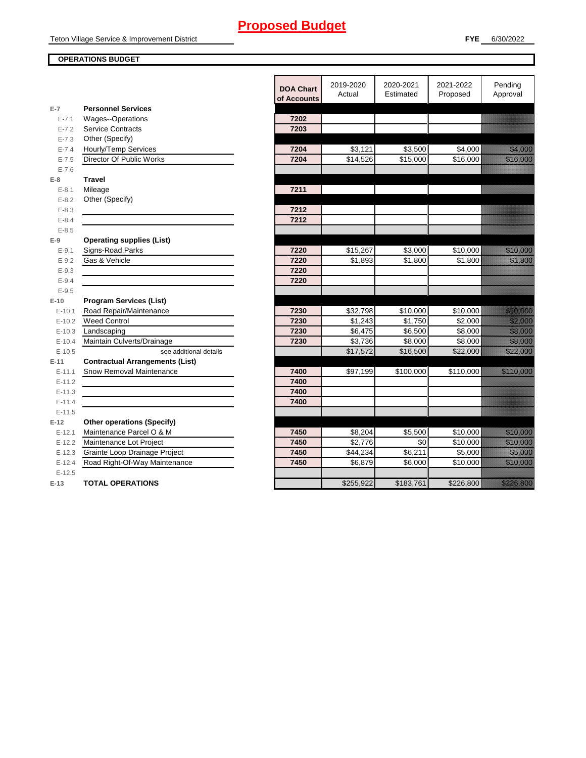## **OPERATIONS BUDGET**

|            |                                        | <b>DOA Chart</b><br>of Accounts | 2019-2020<br>Actual | 2020-2021<br>Estimated | 2021-2022<br>Proposed | Pending<br>Approval                                                                                                   |
|------------|----------------------------------------|---------------------------------|---------------------|------------------------|-----------------------|-----------------------------------------------------------------------------------------------------------------------|
| $E-7$      | <b>Personnel Services</b>              |                                 |                     |                        |                       |                                                                                                                       |
| $E - 7.1$  | Wages--Operations                      | 7202                            |                     |                        |                       |                                                                                                                       |
| $E - 7.2$  | <b>Service Contracts</b>               | 7203                            |                     |                        |                       |                                                                                                                       |
| $E - 7.3$  | Other (Specify)                        |                                 |                     |                        |                       |                                                                                                                       |
| $E - 7.4$  | Hourly/Temp Services                   | 7204                            | \$3,121             | \$3,500                | \$4,000               | <u> Hillian Sta</u>                                                                                                   |
| $E - 7.5$  | Director Of Public Works               | 7204                            | \$14,526            | \$15,000               | \$16,000              | <u> Karl Sara</u>                                                                                                     |
| $E - 7.6$  |                                        |                                 |                     |                        |                       |                                                                                                                       |
| $E-8$      | <b>Travel</b>                          |                                 |                     |                        |                       |                                                                                                                       |
| $E - 8.1$  | Mileage                                | 7211                            |                     |                        |                       |                                                                                                                       |
| $E - 8.2$  | Other (Specify)                        |                                 |                     |                        |                       |                                                                                                                       |
| $E - 8.3$  |                                        | 7212                            |                     |                        |                       |                                                                                                                       |
| $E - 8.4$  |                                        | 7212                            |                     |                        |                       |                                                                                                                       |
| $E - 8.5$  |                                        |                                 |                     |                        |                       |                                                                                                                       |
| $E-9$      | <b>Operating supplies (List)</b>       |                                 |                     |                        |                       |                                                                                                                       |
| $E-9.1$    | Signs-Road, Parks                      | 7220                            | \$15,267            | \$3,000                | \$10,000              | <u>e de la construcción de la construcción de la construcción de la construcción de la construcción de la constru</u> |
| $E-9.2$    | Gas & Vehicle                          | 7220                            | \$1,893             | \$1,800                | \$1,800               | <u> Mariji (</u>                                                                                                      |
| $E - 9.3$  |                                        | 7220                            |                     |                        |                       |                                                                                                                       |
| $E - 9.4$  |                                        | 7220                            |                     |                        |                       |                                                                                                                       |
| $E-9.5$    |                                        |                                 |                     |                        |                       |                                                                                                                       |
| $E-10$     | <b>Program Services (List)</b>         |                                 |                     |                        |                       |                                                                                                                       |
| $E-10.1$   | Road Repair/Maintenance                | 7230                            | \$32,798            | \$10,000               | \$10,000              | <u> Maria Barat</u>                                                                                                   |
| $E-10.2$   | <b>Weed Control</b>                    | 7230                            | \$1,243             | \$1,750                | \$2,000               | <u>till framförsta störfallan i störfallan som han störfallan som han störfallan som han störfallan som han s</u>     |
| $E-10.3$   | Landscaping                            | 7230                            | \$6,475             | \$6,500                | \$8,000               | <u> Hillian Sta</u>                                                                                                   |
| $E-10.4$   | Maintain Culverts/Drainage             | 7230                            | \$3,736             | \$8,000                | \$8,000               | <u> Hillian S</u>                                                                                                     |
| $E-10.5$   | see additional details                 |                                 | \$17,572            | \$16,500               | \$22,000              | <u> Kalendari Septembang Bandari Septembang Bandari Septembang Bandari Septembang Bandari Septembang Bandari Sep</u>  |
| $E-11$     | <b>Contractual Arrangements (List)</b> |                                 |                     |                        |                       |                                                                                                                       |
| $E-11.1$   | Snow Removal Maintenance               | 7400                            | \$97,199            | \$100.000              | \$110,000             | <u> Elizabeth Charles Charles Charles Charles Charles Charles Charles Charles Charles Charles Charles Charles Ch</u>  |
| $E-11.2$   |                                        | 7400                            |                     |                        |                       |                                                                                                                       |
| $E-11.3$   |                                        | 7400                            |                     |                        |                       |                                                                                                                       |
| $E - 11.4$ |                                        | 7400                            |                     |                        |                       |                                                                                                                       |
| $E-11.5$   |                                        |                                 |                     |                        |                       |                                                                                                                       |
| $E-12$     | <b>Other operations (Specify)</b>      |                                 |                     |                        |                       |                                                                                                                       |
| $E-12.1$   | Maintenance Parcel O & M               | 7450                            | \$8,204             | \$5,500                | \$10,000              | <u> Mariji (</u>                                                                                                      |
| $E-12.2$   | Maintenance Lot Project                | 7450                            | \$2,776             | \$0                    | \$10,000              | <u> Karl Sara</u>                                                                                                     |
| $E-12.3$   | Grainte Loop Drainage Project          | 7450                            | \$44,234            | \$6,211                | \$5,000               | <u>ti ka</u>                                                                                                          |
| $E-12.4$   | Road Right-Of-Way Maintenance          | 7450                            | \$6,879             | \$6,000                | \$10,000              | <u> Mariji (</u>                                                                                                      |
| $E-12.5$   |                                        |                                 |                     |                        |                       |                                                                                                                       |
| $E-13$     | <b>TOTAL OPERATIONS</b>                |                                 | \$255,922           | \$183,761              | \$226,800             | <u>ta alikuwa m</u>                                                                                                   |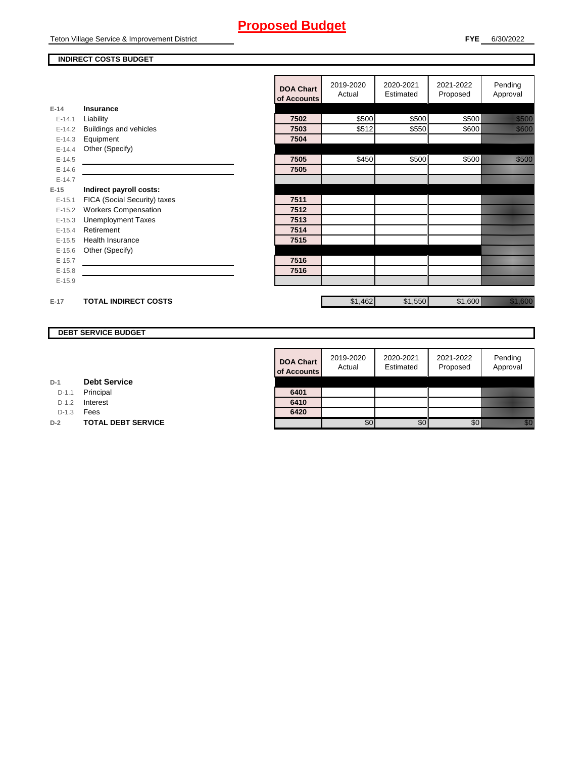Teton Village Service & Improvement District

## **INDIRECT COSTS BUDGET**

**E-14 Insurance**

**E-15 Indirect payroll costs:**

|          |                              | <b>DOA Chart</b><br>of Accounts | 2019-2020<br>Actual | 2020-2021<br>Estimated | 2021-2022<br>Proposed | Pending<br>Approval       |
|----------|------------------------------|---------------------------------|---------------------|------------------------|-----------------------|---------------------------|
| $E-14$   | Insurance                    |                                 |                     |                        |                       |                           |
| $E-14.1$ | Liability                    | 7502                            | \$500               | \$500                  | \$500                 | <u> Karl Sara</u>         |
| $E-14.2$ | Buildings and vehicles       | 7503                            | \$512               | \$550                  | \$600                 | <u> Karati</u>            |
| $E-14.3$ | Equipment                    | 7504                            |                     |                        |                       |                           |
| $E-14.4$ | Other (Specify)              |                                 |                     |                        |                       |                           |
| $E-14.5$ |                              | 7505                            | \$450               | \$500                  | \$500                 | <u> Karati I</u>          |
| $E-14.6$ |                              | 7505                            |                     |                        |                       |                           |
| $E-14.7$ |                              |                                 |                     |                        |                       |                           |
| $E-15$   | Indirect payroll costs:      |                                 |                     |                        |                       |                           |
| $E-15.1$ | FICA (Social Security) taxes | 7511                            |                     |                        |                       |                           |
| $E-15.2$ | <b>Workers Compensation</b>  | 7512                            |                     |                        |                       |                           |
| $E-15.3$ | <b>Unemployment Taxes</b>    | 7513                            |                     |                        |                       |                           |
| $E-15.4$ | Retirement                   | 7514                            |                     |                        |                       |                           |
| $E-15.5$ | Health Insurance             | 7515                            |                     |                        |                       |                           |
| $E-15.6$ | Other (Specify)              |                                 |                     |                        |                       |                           |
| $E-15.7$ |                              | 7516                            |                     |                        |                       |                           |
| $E-15.8$ |                              | 7516                            |                     |                        |                       |                           |
| $E-15.9$ |                              |                                 |                     |                        |                       |                           |
|          |                              |                                 |                     |                        |                       |                           |
| E-17     | <b>TOTAL INDIRECT COSTS</b>  |                                 | \$1,462             | \$1,550                | \$1,600               | <u>i karatifunggal sa</u> |

## **DEBT SERVICE BUDGET**

| <b>DOA Chart</b><br>of Accounts | 2019-2020<br>Actual | 2020-2021<br>Estimated | 2021-2022<br>Proposed | Pending<br>Approval |
|---------------------------------|---------------------|------------------------|-----------------------|---------------------|
|                                 |                     |                        |                       |                     |
| 6401<br>6410                    |                     |                        |                       |                     |
| 6420                            |                     |                        |                       |                     |
|                                 |                     |                        |                       |                     |

| D-1 |  | <b>Debt Service</b> |
|-----|--|---------------------|
|-----|--|---------------------|

D-1.1 Principal

D-1.2 **Interest** 

D-1.3 **Fees** 

**D-2 TOTAL DEBT SERVICE**